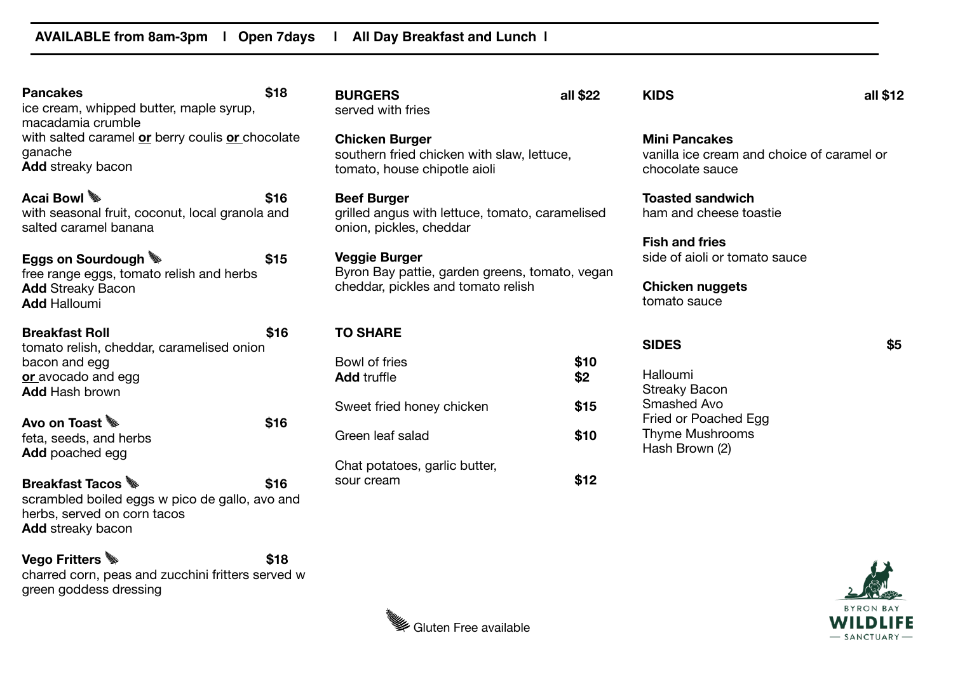| <b>Pancakes</b><br>ice cream, whipped butter, maple syrup,                                                                          | \$18 | <b>BURGERS</b><br>served with fries                                                                          | all \$22    | <b>KIDS</b>                                                                           | all \$12 |
|-------------------------------------------------------------------------------------------------------------------------------------|------|--------------------------------------------------------------------------------------------------------------|-------------|---------------------------------------------------------------------------------------|----------|
| macadamia crumble<br>with salted caramel or berry coulis or chocolate<br>ganache<br><b>Add</b> streaky bacon                        |      | <b>Chicken Burger</b><br>southern fried chicken with slaw, lettuce,<br>tomato, house chipotle aioli          |             | <b>Mini Pancakes</b><br>vanilla ice cream and choice of caramel or<br>chocolate sauce |          |
| Acai Bowl<br>with seasonal fruit, coconut, local granola and<br>salted caramel banana                                               | \$16 | <b>Beef Burger</b><br>grilled angus with lettuce, tomato, caramelised<br>onion, pickles, cheddar             |             | <b>Toasted sandwich</b><br>ham and cheese toastie<br><b>Fish and fries</b>            |          |
| Eggs on Sourdough<br>free range eggs, tomato relish and herbs<br><b>Add Streaky Bacon</b><br><b>Add Halloumi</b>                    | \$15 | <b>Veggie Burger</b><br>Byron Bay pattie, garden greens, tomato, vegan<br>cheddar, pickles and tomato relish |             | side of aioli or tomato sauce<br><b>Chicken nuggets</b><br>tomato sauce               |          |
| <b>Breakfast Roll</b><br>tomato relish, cheddar, caramelised onion                                                                  | \$16 | <b>TO SHARE</b>                                                                                              |             | <b>SIDES</b>                                                                          | \$5      |
| bacon and egg<br>or avocado and egg<br><b>Add Hash brown</b>                                                                        |      | Bowl of fries<br><b>Add truffle</b>                                                                          | \$10<br>\$2 | Halloumi<br><b>Streaky Bacon</b><br>Smashed Avo                                       |          |
| Avo on Toast                                                                                                                        | \$16 | Sweet fried honey chicken                                                                                    | \$15        | Fried or Poached Egg                                                                  |          |
| feta, seeds, and herbs<br><b>Add</b> poached egg                                                                                    |      | Green leaf salad<br>Chat potatoes, garlic butter,                                                            | \$10        | <b>Thyme Mushrooms</b><br>Hash Brown (2)                                              |          |
| <b>Breakfast Tacos</b><br>scrambled boiled eggs w pico de gallo, avo and<br>herbs, served on corn tacos<br><b>Add</b> streaky bacon | \$16 | sour cream                                                                                                   | \$12        |                                                                                       |          |

**Vego Fritters & Exercise Algebra 18** charred corn, peas and zucchini fritters served w green goddess dressing